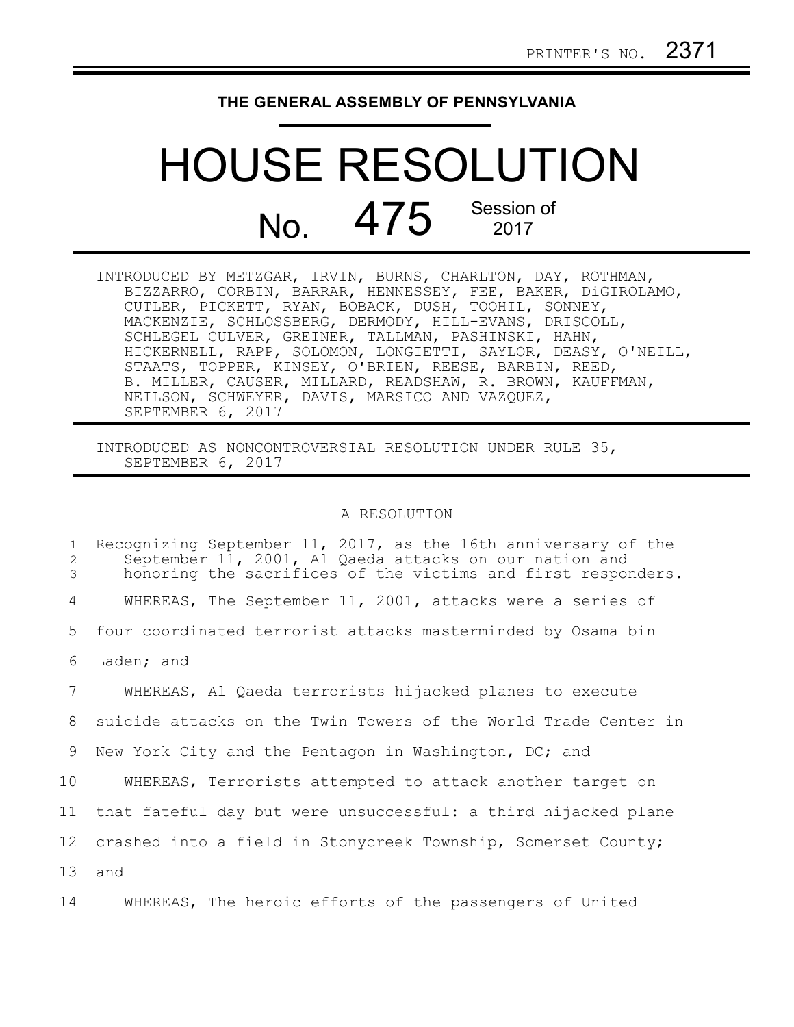## **THE GENERAL ASSEMBLY OF PENNSYLVANIA**

## HOUSE RESOLUTION No. 475 Session of

INTRODUCED BY METZGAR, IRVIN, BURNS, CHARLTON, DAY, ROTHMAN, BIZZARRO, CORBIN, BARRAR, HENNESSEY, FEE, BAKER, DiGIROLAMO, CUTLER, PICKETT, RYAN, BOBACK, DUSH, TOOHIL, SONNEY, MACKENZIE, SCHLOSSBERG, DERMODY, HILL-EVANS, DRISCOLL, SCHLEGEL CULVER, GREINER, TALLMAN, PASHINSKI, HAHN, HICKERNELL, RAPP, SOLOMON, LONGIETTI, SAYLOR, DEASY, O'NEILL, STAATS, TOPPER, KINSEY, O'BRIEN, REESE, BARBIN, REED, B. MILLER, CAUSER, MILLARD, READSHAW, R. BROWN, KAUFFMAN, NEILSON, SCHWEYER, DAVIS, MARSICO AND VAZQUEZ, SEPTEMBER 6, 2017

INTRODUCED AS NONCONTROVERSIAL RESOLUTION UNDER RULE 35, SEPTEMBER 6, 2017

## A RESOLUTION

| $\mathbf{1}$<br>2<br>3 | Recognizing September 11, 2017, as the 16th anniversary of the<br>September 11, 2001, Al Qaeda attacks on our nation and<br>honoring the sacrifices of the victims and first responders. |
|------------------------|------------------------------------------------------------------------------------------------------------------------------------------------------------------------------------------|
| 4                      | WHEREAS, The September 11, 2001, attacks were a series of                                                                                                                                |
| 5                      | four coordinated terrorist attacks masterminded by Osama bin                                                                                                                             |
| 6                      | Laden; and                                                                                                                                                                               |
| 7                      | WHEREAS, Al Qaeda terrorists hijacked planes to execute                                                                                                                                  |
| 8                      | suicide attacks on the Twin Towers of the World Trade Center in                                                                                                                          |
| 9                      | New York City and the Pentagon in Washington, DC; and                                                                                                                                    |
| 10                     | WHEREAS, Terrorists attempted to attack another target on                                                                                                                                |
| 11                     | that fateful day but were unsuccessful: a third hijacked plane                                                                                                                           |
| 12                     | crashed into a field in Stonycreek Township, Somerset County;                                                                                                                            |
| 13                     | and                                                                                                                                                                                      |
|                        |                                                                                                                                                                                          |

WHEREAS, The heroic efforts of the passengers of United 14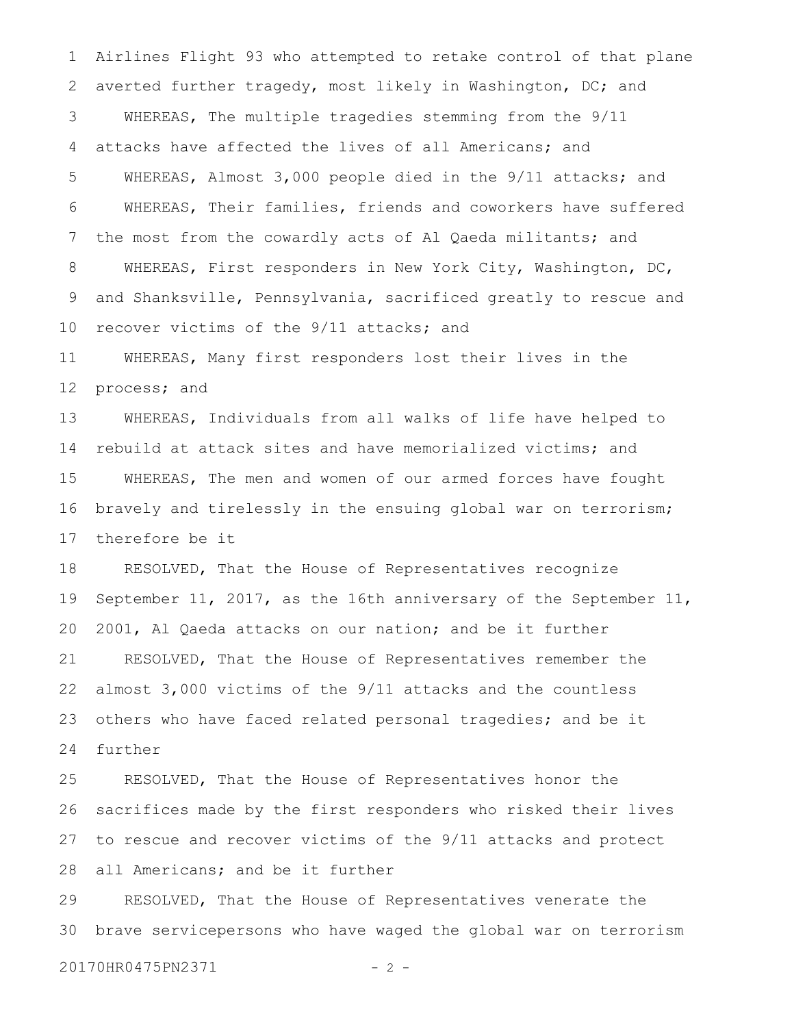Airlines Flight 93 who attempted to retake control of that plane averted further tragedy, most likely in Washington, DC; and WHEREAS, The multiple tragedies stemming from the 9/11 attacks have affected the lives of all Americans; and WHEREAS, Almost 3,000 people died in the 9/11 attacks; and WHEREAS, Their families, friends and coworkers have suffered the most from the cowardly acts of Al Qaeda militants; and WHEREAS, First responders in New York City, Washington, DC, and Shanksville, Pennsylvania, sacrificed greatly to rescue and recover victims of the 9/11 attacks; and WHEREAS, Many first responders lost their lives in the process; and WHEREAS, Individuals from all walks of life have helped to rebuild at attack sites and have memorialized victims; and 1 2 3 4 5 6 7 8 9 10 11 12 13 14

WHEREAS, The men and women of our armed forces have fought bravely and tirelessly in the ensuing global war on terrorism; therefore be it 15 16 17

RESOLVED, That the House of Representatives recognize September 11, 2017, as the 16th anniversary of the September 11, 2001, Al Qaeda attacks on our nation; and be it further RESOLVED, That the House of Representatives remember the almost 3,000 victims of the 9/11 attacks and the countless others who have faced related personal tragedies; and be it further 18 19 20 21 22 23 24

RESOLVED, That the House of Representatives honor the sacrifices made by the first responders who risked their lives to rescue and recover victims of the 9/11 attacks and protect all Americans; and be it further 25 26 27 28

RESOLVED, That the House of Representatives venerate the brave servicepersons who have waged the global war on terrorism 29 30

20170HR0475PN2371 - 2 -